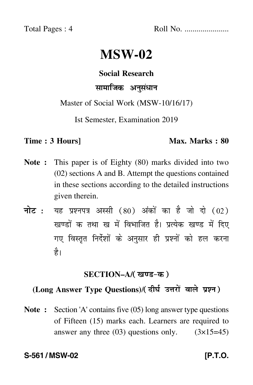Total Pages : 4 Roll No. ......................

# **MSW-02**

# **Social Research**

# सामाजिक अनुसंधान

Master of Social Work (MSW-10/16/17)

Ist Semester, Examination 2019

#### **Time : 3 Hours]** Max. Marks : 80

- **Note :** This paper is of Eighty (80) marks divided into two (02) sections A and B. Attempt the questions contained in these sections according to the detailed instructions given therein.
- नोट : यह प्रश्नपत्र अस्सी (80) अंकों का है जो दो (02) खण्डों क तथा ख में विभाजित है। प्रत्येक खण्ड में दिए गए विस्तृत निर्देशों के अनुसार ही प्रश्नों को हल करन<mark>ा</mark> है।

# **SECTION–A/**-

# (Long Answer Type Questions)/( दीर्घ उत्तरों वाले प्रश्न )

**Note :** Section 'A' contains five (05) long answer type questions of Fifteen (15) marks each. Learners are required to answer any three  $(03)$  questions only.  $(3\times15=45)$ 

### S-561 / MSW-02 **[P.T.O.**]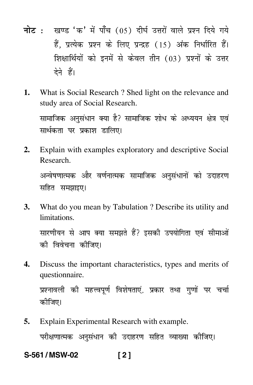- नोट : खण्ड 'क' में पाँच (05) दीर्घ उत्तरों वाले प्रश्न दिये गये हैं, प्रत्येक प्रश्न के लिए प्रन्द्रह (15) अंक निर्धारित हैं। शिक्षार्थियों को इनमें से केवल तीन (03) प्रश्नों के उत्तर देने हैं।
- What is Social Research ? Shed light on the relevance and 1. study area of Social Research.

सामाजिक अनुसंधान क्या है? सामाजिक शोध के अध्ययन क्षेत्र एवं सार्थकता पर प्रकाश डालिए।

- Explain with examples exploratory and descriptive Social  $2.$ Research. अन्वेषणात्मक और वर्णनात्मक सामाजिक अनुसंधानों को उदाहरण सहित समझाइए।
- What do you mean by Tabulation? Describe its utility and  $3.$ limitations

सारणीयन से आप क्या समझते हैं? इसकी उपयोगिता एवं सीमाओं की विवेचना कीजिए।

 $\mathbf{4}$ Discuss the important characteristics, types and merits of questionnaire.

प्रश्नावली की महत्त्वपूर्ण विशेषताएं, प्रकार तथा गुणों पर चर्चा कीजिए।

Explain Experimental Research with example. 5.

परीक्षणात्मक अनुसंधान की उदाहरण सहित व्याख्या कीजिए।

 $121$ S-561/MSW-02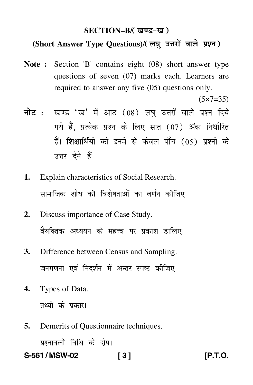#### SECTION-B/(खण्ड-ख)

## (Short Answer Type Questions)/(लघु उत्तरों वाले प्रश्न)

- Note: Section 'B' contains eight (08) short answer type questions of seven (07) marks each. Learners are required to answer any five (05) questions only.
- नोट: खण्ड 'ख' में आठ (08) लघु उत्तरों वाले प्रश्न दिये गये हैं. प्रत्येक प्रश्न के लिए सात (07) अंक निर्धारित हैं। शिक्षार्थियों को इनमें से केवल पाँच (05) प्रश्नों के उत्तर देने हैं।
- Explain characteristics of Social Research. 1. सामाजिक शोध की विशेषताओं का वर्णन कीजिए।
- Discuss importance of Case Study.  $2.$ वैयक्तिक अध्ययन के महत्त्व पर प्रकाश डालिए।
- Difference between Census and Sampling. **3.** जनगणना एवं निदर्शन में अन्तर स्पष्ट कीजिए।
- 4. Types of Data. तथ्यों के प्रकार।
- Demerits of Questionnaire techniques. 5. प्रश्नावली विधि के दोष।

S-561/MSW-02  $131$   $[P.T.O.]$ 

 $(5x7=35)$